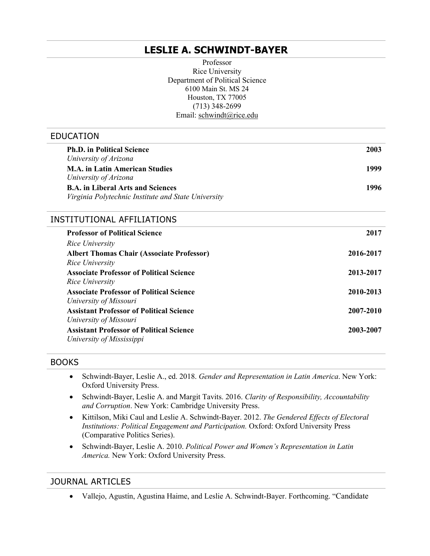# **LESLIE A. SCHWINDT-BAYER**

 Department of Political Science Professor Rice University 6100 Main St. MS 24 Houston, TX 77005 (713) 348-2699 Email: [schwindt@rice.edu](mailto:schwindt@rice.edu) 

#### EDUCATION

| <b>Ph.D.</b> in Political Science<br>University of Arizona                                      | 2003      |
|-------------------------------------------------------------------------------------------------|-----------|
| <b>M.A. in Latin American Studies</b><br>University of Arizona                                  | 1999      |
| <b>B.A.</b> in Liberal Arts and Sciences<br>Virginia Polytechnic Institute and State University | 1996      |
| INSTITUTIONAL AFFILIATIONS                                                                      |           |
| <b>Professor of Political Science</b>                                                           | 2017      |
| Rice University                                                                                 |           |
| <b>Albert Thomas Chair (Associate Professor)</b>                                                | 2016-2017 |
| Rice University                                                                                 |           |
| <b>Associate Professor of Political Science</b><br>Rice University                              | 2013-2017 |
| <b>Associate Professor of Political Science</b>                                                 | 2010-2013 |
| University of Missouri                                                                          |           |
| <b>Assistant Professor of Political Science</b>                                                 | 2007-2010 |
| University of Missouri                                                                          |           |
| <b>Assistant Professor of Political Science</b>                                                 | 2003-2007 |
| University of Mississippi                                                                       |           |
|                                                                                                 |           |

#### BOOKS

- • Schwindt-Bayer, Leslie A., ed. 2018. *Gender and Representation in Latin America*. New York: Oxford University Press.
- Schwindt-Bayer, Leslie A. and Margit Tavits. 2016. *Clarity of Responsibility, Accountability and Corruption*. New York: Cambridge University Press.
- • Kittilson, Miki Caul and Leslie A. Schwindt-Bayer. 2012. *The Gendered Effects of Electoral Institutions: Political Engagement and Participation.* Oxford: Oxford University Press (Comparative Politics Series).
- • Schwindt-Bayer, Leslie A. 2010. *Political Power and Women's Representation in Latin America.* New York: Oxford University Press.

#### JOURNAL ARTICLES

• Vallejo, Agustín, Agustina Haime, and Leslie A. Schwindt-Bayer. Forthcoming. "Candidate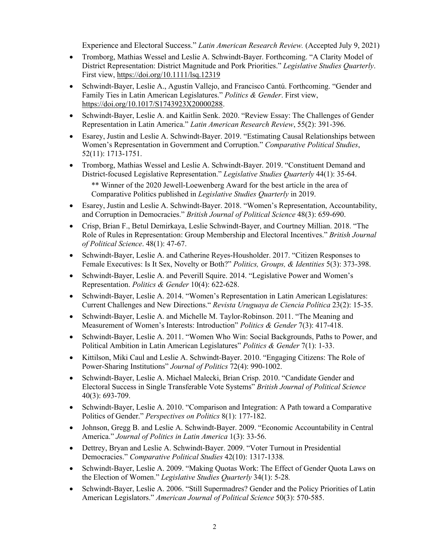Experience and Electoral Success." *Latin American Research Review.* (Accepted July 9, 2021)

- • Tromborg, Mathias Wessel and Leslie A. Schwindt-Bayer. Forthcoming. "A Clarity Model of District Representation: District Magnitude and Pork Priorities." *Legislative Studies Quarterly*. First view, <https://doi.org/10.1111/lsq.12319>
- • Schwindt-Bayer, Leslie A., Agustín Vallejo, and Francisco Cantú. Forthcoming. "Gender and Family Ties in Latin American Legislatures." *Politics & Gender*. First view, <https://doi.org/10.1017/S1743923X20000288>.
- • Schwindt-Bayer, Leslie A. and Kaitlin Senk. 2020. "Review Essay: The Challenges of Gender Representation in Latin America." *Latin American Research Review*, 55(2): 391-396.
- • Esarey, Justin and Leslie A. Schwindt-Bayer. 2019. "Estimating Causal Relationships between Women's Representation in Government and Corruption." *Comparative Political Studies*, 52(11): 1713-1751.
- • Tromborg, Mathias Wessel and Leslie A. Schwindt-Bayer. 2019. "Constituent Demand and \*\* Winner of the 2020 Jewell-Loewenberg Award for the best article in the area of Comparative Politics published in *Legislative Studies Quarterly* in 2019. District-focused Legislative Representation." *Legislative Studies Quarterly* 44(1): 35-64.
- • Esarey, Justin and Leslie A. Schwindt-Bayer. 2018. "Women's Representation, Accountability,  and Corruption in Democracies." *British Journal of Political Science* 48(3): 659-690.
- • Crisp, Brian F., Betul Demirkaya, Leslie Schwindt-Bayer, and Courtney Millian. 2018. "The Role of Rules in Representation: Group Membership and Electoral Incentives." *British Journal of Political Science*. 48(1): 47-67.
- • Schwindt-Bayer, Leslie A. and Catherine Reyes-Housholder. 2017. "Citizen Responses to Female Executives: Is It Sex, Novelty or Both?" *Politics, Groups, & Identities* 5(3): 373-398.
- • Schwindt-Bayer, Leslie A. and Peverill Squire. 2014. "Legislative Power and Women's Representation. *Politics & Gender* 10(4): 622-628.
- • Schwindt-Bayer, Leslie A. 2014. "Women's Representation in Latin American Legislatures: Current Challenges and New Directions." *Revista Uruguaya de Ciencia Política* 23(2): 15-35.
- • Schwindt-Bayer, Leslie A. and Michelle M. Taylor-Robinson. 2011. "The Meaning and  Measurement of Women's Interests: Introduction" *Politics & Gender* 7(3): 417-418.
- • Schwindt-Bayer, Leslie A. 2011. "Women Who Win: Social Backgrounds, Paths to Power, and Political Ambition in Latin American Legislatures" *Politics & Gender* 7(1): 1-33.
- • Kittilson, Miki Caul and Leslie A. Schwindt-Bayer. 2010. "Engaging Citizens: The Role of  Power-Sharing Institutions" *Journal of Politics* 72(4): 990-1002.
- • Schwindt-Bayer, Leslie A. Michael Malecki, Brian Crisp. 2010. "Candidate Gender and Electoral Success in Single Transferable Vote Systems" *British Journal of Political Science*  40(3): 693-709.
- • Schwindt-Bayer, Leslie A. 2010. "Comparison and Integration: A Path toward a Comparative Politics of Gender." *Perspectives on Politics* 8(1): 177-182.
- • Johnson, Gregg B. and Leslie A. Schwindt-Bayer. 2009. "Economic Accountability in Central America." *Journal of Politics in Latin America* 1(3): 33-56.
- • Dettrey, Bryan and Leslie A. Schwindt-Bayer. 2009. "Voter Turnout in Presidential  Democracies." *Comparative Political Studies* 42(10): 1317-1338*.*
- • Schwindt-Bayer, Leslie A. 2009. "Making Quotas Work: The Effect of Gender Quota Laws on the Election of Women." *Legislative Studies Quarterly* 34(1): 5-28*.*
- • Schwindt-Bayer, Leslie A. 2006. "Still Supermadres? Gender and the Policy Priorities of Latin  American Legislators." *American Journal of Political Science* 50(3): 570-585.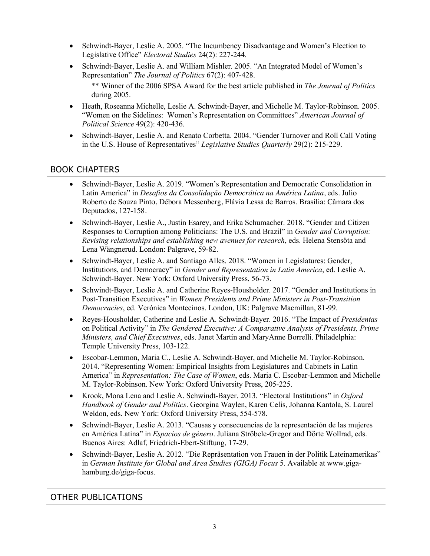- • Schwindt-Bayer, Leslie A. 2005. "The Incumbency Disadvantage and Women's Election to Legislative Office" *Electoral Studies* 24(2): 227-244.
- • Schwindt-Bayer, Leslie A. and William Mishler. 2005. "An Integrated Model of Women's Representation" *The Journal of Politics* 67(2): 407-428.

 \*\* Winner of the 2006 SPSA Award for the best article published in *The Journal of Politics*  during 2005.

- • Heath, Roseanna Michelle, Leslie A. Schwindt-Bayer, and Michelle M. Taylor-Robinson. 2005. "Women on the Sidelines: Women's Representation on Committees" *American Journal of Political Science* 49(2): 420-436.
- • Schwindt-Bayer, Leslie A. and Renato Corbetta. 2004. "Gender Turnover and Roll Call Voting in the U.S. House of Representatives" *Legislative Studies Quarterly* 29(2): 215-229.

### BOOK CHAPTERS

- • Schwindt-Bayer, Leslie A. 2019. "Women's Representation and Democratic Consolidation in Roberto de Souza Pinto, Débora Messenberg, Flávia Lessa de Barros. Brasilia: Câmara dos Latin America" in *Desafios da Consolidação Democrática na América Latina*, eds. Julio Deputados, 127-158.
- • Schwindt-Bayer, Leslie A., Justin Esarey, and Erika Schumacher. 2018. "Gender and Citizen Responses to Corruption among Politicians: The U.S. and Brazil" in *Gender and Corruption: Revising relationships and establishing new avenues for research*, eds. Helena Stensöta and Lena Wängnerud. London: Palgrave, 59-82.
- • Schwindt-Bayer, Leslie A. and Santiago Alles. 2018. "Women in Legislatures: Gender,  Institutions, and Democracy" in *Gender and Representation in Latin America*, ed. Leslie A. Schwindt-Bayer. New York: Oxford University Press, 56-73.
- • Schwindt-Bayer, Leslie A. and Catherine Reyes-Housholder. 2017. "Gender and Institutions in Post-Transition Executives" in *Women Presidents and Prime Ministers in Post-Transition Democracies*, ed. Verónica Montecinos. London, UK: Palgrave Macmillan, 81-99.
- • Reyes-Housholder, Catherine and Leslie A. Schwindt-Bayer. 2016. "The Impact of *Presidentas*  on Political Activity" in *The Gendered Executive: A Comparative Analysis of Presidents, Prime Ministers, and Chief Executives*, eds. Janet Martin and MaryAnne Borrelli. Philadelphia: Temple University Press, 103-122.
- • Escobar-Lemmon, Maria C., Leslie A. Schwindt-Bayer, and Michelle M. Taylor-Robinson. 2014. "Representing Women: Empirical Insights from Legislatures and Cabinets in Latin America" in *Representation: The Case of Women*, eds. Maria C. Escobar-Lemmon and Michelle M. Taylor-Robinson. New York: Oxford University Press, 205-225.
- • Krook, Mona Lena and Leslie A. Schwindt-Bayer. 2013. "Electoral Institutions" in *Oxford Handbook of Gender and Politics*. Georgina Waylen, Karen Celis, Johanna Kantola, S. Laurel Weldon, eds. New York: Oxford University Press, 554-578.
- • Schwindt-Bayer, Leslie A. 2013. "Causas y consecuencias de la representación de las mujeres  en América Latina" in *Espacios de género*. Juliana Ströbele-Gregor and Dörte Wollrad, eds. Buenos Aires: Adlaf, Friedrich-Ebert-Stiftung, 17-29.
- • Schwindt-Bayer, Leslie A. 2012. "Die Repräsentation von Frauen in der Politik Lateinamerikas"  in *German Institute for Global and Area Studies (GIGA) Focus* 5. Available at <www.giga>hamburg.de/giga-focus.

## OTHER PUBLICATIONS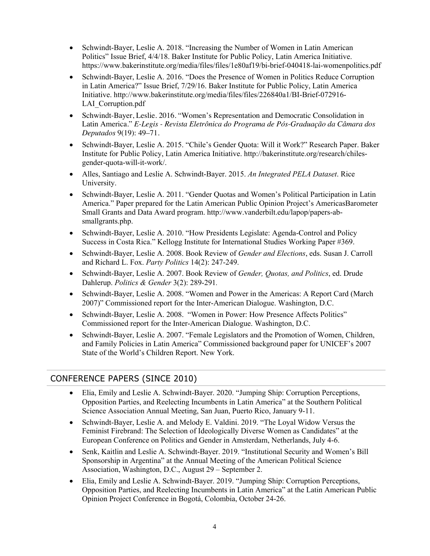- • Schwindt-Bayer, Leslie A. 2018. "Increasing the Number of Women in Latin American Politics" Issue Brief, 4/4/18. Baker Institute for Public Policy, Latin America Initiative. <https://www.bakerinstitute.org/media/files/files/1e80af19/bi-brief-040418-lai-womenpolitics.pdf>
- • Schwindt-Bayer, Leslie A. 2016. "Does the Presence of Women in Politics Reduce Corruption in Latin America?" Issue Brief, 7/29/16. Baker Institute for Public Policy, Latin America Initiative. [http://www.bakerinstitute.org/media/files/files/226840a1/BI-Brief-072916-](http://www.bakerinstitute.org/media/files/files/226840a1/BI-Brief-072916) LAI Corruption.pdf
- • Schwindt-Bayer, Leslie. 2016. "Women's Representation and Democratic Consolidation in Latin America." *E-Legis - Revista Eletrônica do Programa de Pós-Graduação da Câmara dos Deputados* 9(19): 49–71.
- • Schwindt-Bayer, Leslie A. 2015. "Chile's Gender Quota: Will it Work?" Research Paper. Baker Institute for Public Policy, Latin America Initiative. <http://bakerinstitute.org/research/chiles>gender-quota-will-it-work/.
- • Alles, Santiago and Leslie A. Schwindt-Bayer. 2015. *An Integrated PELA Dataset*. Rice University.
- • Schwindt-Bayer, Leslie A. 2011. "Gender Quotas and Women's Political Participation in Latin America." Paper prepared for the Latin American Public Opinion Project's AmericasBarometer Small Grants and Data Award program. <http://www.vanderbilt.edu/lapop/papers-ab>smallgrants.php.
- • Schwindt-Bayer, Leslie A. 2010. "How Presidents Legislate: Agenda-Control and Policy Success in Costa Rica." Kellogg Institute for International Studies Working Paper #369.
- • Schwindt-Bayer, Leslie A. 2008. Book Review of *Gender and Elections*, eds. Susan J. Carroll and Richard L. Fox. *Party Politics* 14(2): 247-249.
- • Schwindt-Bayer, Leslie A. 2007. Book Review of *Gender, Quotas, and Politics*, ed. Drude  Dahlerup. *Politics & Gender* 3(2): 289-291*.*
- • Schwindt-Bayer, Leslie A. 2008. "Women and Power in the Americas: A Report Card (March 2007)" Commissioned report for the Inter-American Dialogue. Washington, D.C.
- • Schwindt-Bayer, Leslie A. 2008. "Women in Power: How Presence Affects Politics" Commissioned report for the Inter-American Dialogue. Washington, D.C.
- • Schwindt-Bayer, Leslie A. 2007. "Female Legislators and the Promotion of Women, Children, and Family Policies in Latin America" Commissioned background paper for UNICEF's 2007 State of the World's Children Report. New York.

## CONFERENCE PAPERS (SINCE 2010)

- • Elia, Emily and Leslie A. Schwindt-Bayer. 2020. "Jumping Ship: Corruption Perceptions, Opposition Parties, and Reelecting Incumbents in Latin America" at the Southern Political Science Association Annual Meeting, San Juan, Puerto Rico, January 9-11.
- • Schwindt-Bayer, Leslie A. and Melody E. Valdini. 2019. "The Loyal Widow Versus the Feminist Firebrand: The Selection of Ideologically Diverse Women as Candidates" at the European Conference on Politics and Gender in Amsterdam, Netherlands, July 4-6.
- • Senk, Kaitlin and Leslie A. Schwindt-Bayer. 2019. "Institutional Security and Women's Bill Sponsorship in Argentina" at the Annual Meeting of the American Political Science Association, Washington, D.C., August 29 – September 2.
- • Elia, Emily and Leslie A. Schwindt-Bayer. 2019. "Jumping Ship: Corruption Perceptions, Opinion Project Conference in Bogotá, Colombia, October 24-26. Opposition Parties, and Reelecting Incumbents in Latin America" at the Latin American Public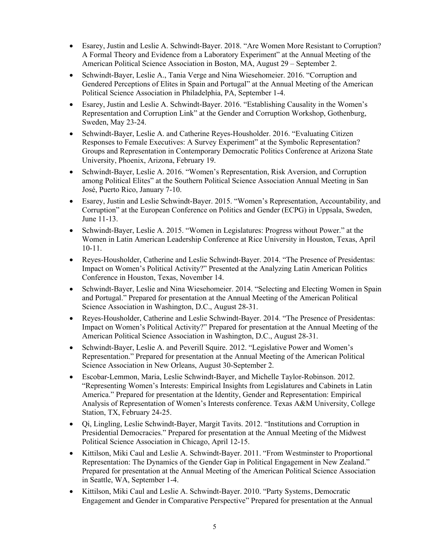- • Esarey, Justin and Leslie A. Schwindt-Bayer. 2018. "Are Women More Resistant to Corruption? A Formal Theory and Evidence from a Laboratory Experiment" at the Annual Meeting of the American Political Science Association in Boston, MA, August 29 – September 2.
- • Schwindt-Bayer, Leslie A., Tania Verge and Nina Wiesehomeier. 2016. "Corruption and Gendered Perceptions of Elites in Spain and Portugal" at the Annual Meeting of the American Political Science Association in Philadelphia, PA, September 1-4.
- Representation and Corruption Link" at the Gender and Corruption Workshop, Gothenburg, • Esarey, Justin and Leslie A. Schwindt-Bayer. 2016. "Establishing Causality in the Women's Sweden, May 23-24.
- • Schwindt-Bayer, Leslie A. and Catherine Reyes-Housholder. 2016. "Evaluating Citizen Responses to Female Executives: A Survey Experiment" at the Symbolic Representation? Groups and Representation in Contemporary Democratic Politics Conference at Arizona State University, Phoenix, Arizona, February 19.
- among Political Elites" at the Southern Political Science Association Annual Meeting in San • Schwindt-Bayer, Leslie A. 2016. "Women's Representation, Risk Aversion, and Corruption José, Puerto Rico, January 7-10.
- • Esarey, Justin and Leslie Schwindt-Bayer. 2015. "Women's Representation, Accountability, and Corruption" at the European Conference on Politics and Gender (ECPG) in Uppsala, Sweden, June 11-13.
- • Schwindt-Bayer, Leslie A. 2015. "Women in Legislatures: Progress without Power." at the Women in Latin American Leadership Conference at Rice University in Houston, Texas, April 10-11.
- • Reyes-Housholder, Catherine and Leslie Schwindt-Bayer. 2014. "The Presence of Presidentas: Conference in Houston, Texas, November 14. Impact on Women's Political Activity?" Presented at the Analyzing Latin American Politics
- • Schwindt-Bayer, Leslie and Nina Wiesehomeier. 2014. "Selecting and Electing Women in Spain and Portugal." Prepared for presentation at the Annual Meeting of the American Political Science Association in Washington, D.C., August 28-31.
- • Reyes-Housholder, Catherine and Leslie Schwindt-Bayer. 2014. "The Presence of Presidentas: Impact on Women's Political Activity?" Prepared for presentation at the Annual Meeting of the American Political Science Association in Washington, D.C., August 28-31.
- • Schwindt-Bayer, Leslie A. and Peverill Squire. 2012. "Legislative Power and Women's Representation." Prepared for presentation at the Annual Meeting of the American Political Science Association in New Orleans, August 30-September 2.
- • Escobar-Lemmon, Maria, Leslie Schwindt-Bayer, and Michelle Taylor-Robinson. 2012. "Representing Women's Interests: Empirical Insights from Legislatures and Cabinets in Latin Analysis of Representation of Women's Interests conference. Texas A&M University, College America." Prepared for presentation at the Identity, Gender and Representation: Empirical Station, TX, February 24-25.
- • Qi, Lingling, Leslie Schwindt-Bayer, Margit Tavits. 2012. "Institutions and Corruption in Presidential Democracies." Prepared for presentation at the Annual Meeting of the Midwest Political Science Association in Chicago, April 12-15.
- • Kittilson, Miki Caul and Leslie A. Schwindt-Bayer. 2011. "From Westminster to Proportional Representation: The Dynamics of the Gender Gap in Political Engagement in New Zealand." Prepared for presentation at the Annual Meeting of the American Political Science Association in Seattle, WA, September 1-4.
- • Kittilson, Miki Caul and Leslie A. Schwindt-Bayer. 2010. "Party Systems, Democratic Engagement and Gender in Comparative Perspective" Prepared for presentation at the Annual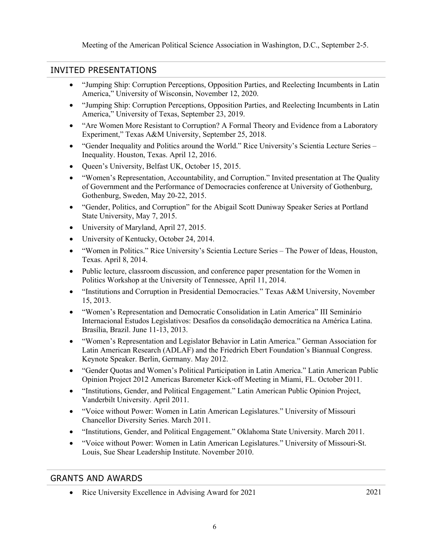Meeting of the American Political Science Association in Washington, D.C., September 2-5.

### INVITED PRESENTATIONS

- • "Jumping Ship: Corruption Perceptions, Opposition Parties, and Reelecting Incumbents in Latin America," University of Wisconsin, November 12, 2020.
- • "Jumping Ship: Corruption Perceptions, Opposition Parties, and Reelecting Incumbents in Latin America," University of Texas, September 23, 2019.
- • "Are Women More Resistant to Corruption? A Formal Theory and Evidence from a Laboratory Experiment," Texas A&M University, September 25, 2018.
- "Gender Inequality and Politics around the World." Rice University's Scientia Lecture Series Inequality. Houston, Texas. April 12, 2016.
- Queen's University, Belfast UK, October 15, 2015.
- • "Women's Representation, Accountability, and Corruption." Invited presentation at The Quality of Government and the Performance of Democracies conference at University of Gothenburg, Gothenburg, Sweden, May 20-22, 2015.
- • "Gender, Politics, and Corruption" for the Abigail Scott Duniway Speaker Series at Portland State University, May 7, 2015.
- University of Maryland, April 27, 2015.
- University of Kentucky, October 24, 2014.
- • "Women in Politics." Rice University's Scientia Lecture Series The Power of Ideas, Houston, Texas. April 8, 2014.
- • Public lecture, classroom discussion, and conference paper presentation for the Women in Politics Workshop at the University of Tennessee, April 11, 2014.
- • "Institutions and Corruption in Presidential Democracies." Texas A&M University, November 15, 2013.
- Brasília, Brazil. June 11-13, 2013. • "Women's Representation and Democratic Consolidation in Latin America" III Seminário Internacional Estudos Legislativos: Desafios da consolidação democrática na América Latina.
- Latin American Research (ADLAF) and the Friedrich Ebert Foundation's Biannual Congress. Keynote Speaker. Berlin, Germany. May 2012. • "Women's Representation and Legislator Behavior in Latin America." German Association for
- • "Gender Quotas and Women's Political Participation in Latin America." Latin American Public Opinion Project 2012 Americas Barometer Kick-off Meeting in Miami, FL. October 2011.
- • "Institutions, Gender, and Political Engagement." Latin American Public Opinion Project, Vanderbilt University. April 2011.
- • "Voice without Power: Women in Latin American Legislatures." University of Missouri Chancellor Diversity Series. March 2011.
- "Institutions, Gender, and Political Engagement." Oklahoma State University. March 2011.
- • "Voice without Power: Women in Latin American Legislatures." University of Missouri-St. Louis, Sue Shear Leadership Institute. November 2010.

#### GRANTS AND AWARDS

• Rice University Excellence in Advising Award for 2021 2021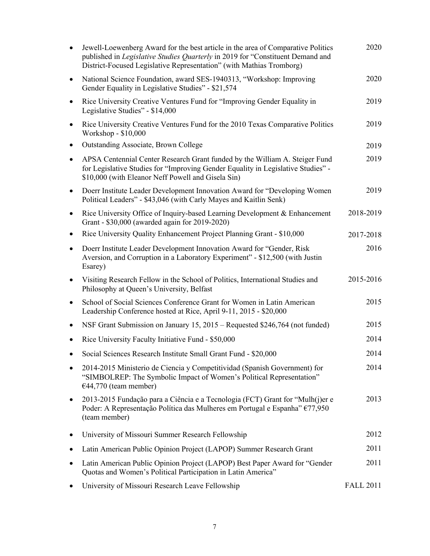| $\bullet$ | Jewell-Loewenberg Award for the best article in the area of Comparative Politics<br>published in Legislative Studies Quarterly in 2019 for "Constituent Demand and<br>District-Focused Legislative Representation" (with Mathias Tromborg) | 2020             |
|-----------|--------------------------------------------------------------------------------------------------------------------------------------------------------------------------------------------------------------------------------------------|------------------|
| $\bullet$ | National Science Foundation, award SES-1940313, "Workshop: Improving<br>Gender Equality in Legislative Studies" - \$21,574                                                                                                                 | 2020             |
| $\bullet$ | Rice University Creative Ventures Fund for "Improving Gender Equality in<br>Legislative Studies" - \$14,000                                                                                                                                | 2019             |
| ٠         | Rice University Creative Ventures Fund for the 2010 Texas Comparative Politics<br>Workshop - \$10,000                                                                                                                                      | 2019             |
| ٠         | <b>Outstanding Associate, Brown College</b>                                                                                                                                                                                                | 2019             |
| $\bullet$ | APSA Centennial Center Research Grant funded by the William A. Steiger Fund<br>for Legislative Studies for "Improving Gender Equality in Legislative Studies" -<br>\$10,000 (with Eleanor Neff Powell and Gisela Sin)                      | 2019             |
| $\bullet$ | Doerr Institute Leader Development Innovation Award for "Developing Women<br>Political Leaders" - \$43,046 (with Carly Mayes and Kaitlin Senk)                                                                                             | 2019             |
| $\bullet$ | Rice University Office of Inquiry-based Learning Development & Enhancement<br>Grant - \$30,000 (awarded again for 2019-2020)                                                                                                               | 2018-2019        |
| ٠         | Rice University Quality Enhancement Project Planning Grant - \$10,000                                                                                                                                                                      | 2017-2018        |
| ٠         | Doerr Institute Leader Development Innovation Award for "Gender, Risk<br>Aversion, and Corruption in a Laboratory Experiment" - \$12,500 (with Justin<br>Esarey)                                                                           | 2016             |
| $\bullet$ | Visiting Research Fellow in the School of Politics, International Studies and<br>Philosophy at Queen's University, Belfast                                                                                                                 | 2015-2016        |
| ٠         | School of Social Sciences Conference Grant for Women in Latin American<br>Leadership Conference hosted at Rice, April 9-11, 2015 - \$20,000                                                                                                | 2015             |
|           | NSF Grant Submission on January 15, 2015 – Requested \$246,764 (not funded)                                                                                                                                                                | 2015             |
|           | Rice University Faculty Initiative Fund - \$50,000                                                                                                                                                                                         | 2014             |
|           | Social Sciences Research Institute Small Grant Fund - \$20,000                                                                                                                                                                             | 2014             |
| $\bullet$ | 2014-2015 Ministerio de Ciencia y Competitividad (Spanish Government) for<br>"SIMBOLREP: The Symbolic Impact of Women's Political Representation"<br>$€44,770$ (team member)                                                               | 2014             |
| ٠         | 2013-2015 Fundação para a Ciência e a Tecnologia (FCT) Grant for "Mulh(j)er e<br>Poder: A Representação Política das Mulheres em Portugal e Espanha" €77,950<br>(team member)                                                              | 2013             |
|           | University of Missouri Summer Research Fellowship                                                                                                                                                                                          | 2012             |
|           | Latin American Public Opinion Project (LAPOP) Summer Research Grant                                                                                                                                                                        | 2011             |
|           | Latin American Public Opinion Project (LAPOP) Best Paper Award for "Gender<br>Quotas and Women's Political Participation in Latin America"                                                                                                 | 2011             |
|           | University of Missouri Research Leave Fellowship                                                                                                                                                                                           | <b>FALL 2011</b> |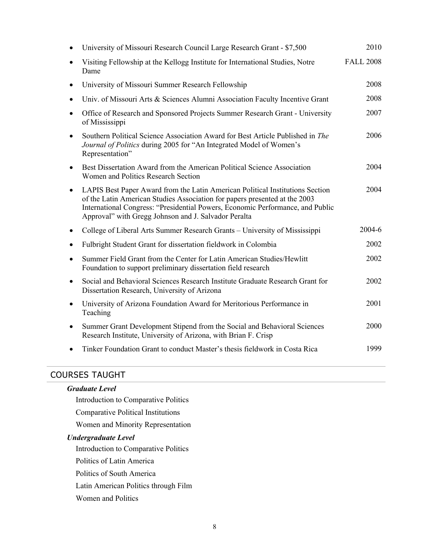|           | University of Missouri Research Council Large Research Grant - \$7,500                                                                                                                                                                                                                                | 2010             |
|-----------|-------------------------------------------------------------------------------------------------------------------------------------------------------------------------------------------------------------------------------------------------------------------------------------------------------|------------------|
|           | Visiting Fellowship at the Kellogg Institute for International Studies, Notre<br>Dame                                                                                                                                                                                                                 | <b>FALL 2008</b> |
|           | University of Missouri Summer Research Fellowship                                                                                                                                                                                                                                                     | 2008             |
|           | Univ. of Missouri Arts & Sciences Alumni Association Faculty Incentive Grant                                                                                                                                                                                                                          | 2008             |
| $\bullet$ | Office of Research and Sponsored Projects Summer Research Grant - University<br>of Mississippi                                                                                                                                                                                                        | 2007             |
|           | Southern Political Science Association Award for Best Article Published in The<br>Journal of Politics during 2005 for "An Integrated Model of Women's<br>Representation"                                                                                                                              | 2006             |
| $\bullet$ | Best Dissertation Award from the American Political Science Association<br>Women and Politics Research Section                                                                                                                                                                                        | 2004             |
| $\bullet$ | LAPIS Best Paper Award from the Latin American Political Institutions Section<br>of the Latin American Studies Association for papers presented at the 2003<br>International Congress: "Presidential Powers, Economic Performance, and Public<br>Approval" with Gregg Johnson and J. Salvador Peralta | 2004             |
| ٠         | College of Liberal Arts Summer Research Grants - University of Mississippi                                                                                                                                                                                                                            | $2004 - 6$       |
|           | Fulbright Student Grant for dissertation fieldwork in Colombia                                                                                                                                                                                                                                        | 2002             |
| $\bullet$ | Summer Field Grant from the Center for Latin American Studies/Hewlitt<br>Foundation to support preliminary dissertation field research                                                                                                                                                                | 2002             |
| $\bullet$ | Social and Behavioral Sciences Research Institute Graduate Research Grant for<br>Dissertation Research, University of Arizona                                                                                                                                                                         | 2002             |
| $\bullet$ | University of Arizona Foundation Award for Meritorious Performance in<br>Teaching                                                                                                                                                                                                                     | 2001             |
| $\bullet$ | Summer Grant Development Stipend from the Social and Behavioral Sciences<br>Research Institute, University of Arizona, with Brian F. Crisp                                                                                                                                                            | 2000             |
|           | Tinker Foundation Grant to conduct Master's thesis fieldwork in Costa Rica                                                                                                                                                                                                                            | 1999             |

## COURSES TAUGHT

| <b>Graduate Level</b>                     |
|-------------------------------------------|
| Introduction to Comparative Politics      |
| <b>Comparative Political Institutions</b> |
| Women and Minority Representation         |
| <b>Undergraduate Level</b>                |
| Introduction to Comparative Politics      |
| Politics of Latin America                 |
| Politics of South America                 |
| Latin American Politics through Film      |
| Women and Politics                        |
|                                           |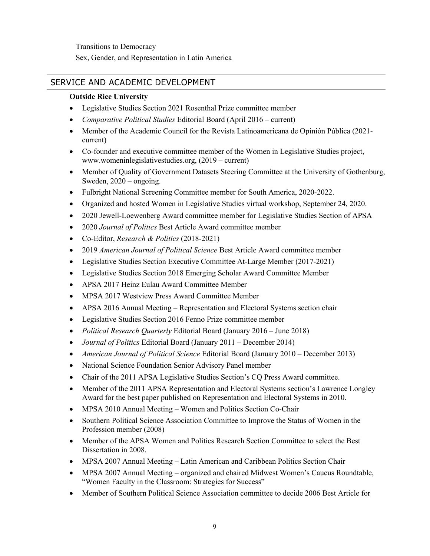## SERVICE AND ACADEMIC DEVELOPMENT

#### **Outside Rice University**

- Legislative Studies Section 2021 Rosenthal Prize committee member
- *Comparative Political Studies* Editorial Board (April 2016 current)
- • Member of the Academic Council for the Revista Latinoamericana de Opinión Pública (2021 current)
- • Co-founder and executive committee member of the Women in Legislative Studies project, [www.womeninlegislativestudies.org,](www.womeninlegislativestudies.org) (2019 – current)
- • Member of Quality of Government Datasets Steering Committee at the University of Gothenburg, Sweden, 2020 – ongoing.
- Fulbright National Screening Committee member for South America, 2020-2022.
- Organized and hosted Women in Legislative Studies virtual workshop, September 24, 2020.
- 2020 Jewell-Loewenberg Award committee member for Legislative Studies Section of APSA
- 2020 *Journal of Politics* Best Article Award committee member
- Co-Editor, *Research & Politics* (2018-2021)
- 2019 *American Journal of Political Science Best Article Award committee member*
- Legislative Studies Section Executive Committee At-Large Member (2017-2021)
- Legislative Studies Section 2018 Emerging Scholar Award Committee Member
- APSA 2017 Heinz Eulau Award Committee Member
- MPSA 2017 Westview Press Award Committee Member
- APSA 2016 Annual Meeting Representation and Electoral Systems section chair
- Legislative Studies Section 2016 Fenno Prize committee member
- *Political Research Quarterly* Editorial Board (January 2016 June 2018)
- *Journal of Politics* Editorial Board (January 2011 December 2014)
- *American Journal of Political Science Editorial Board (January 2010 December 2013)*
- National Science Foundation Senior Advisory Panel member
- Chair of the 2011 APSA Legislative Studies Section's CQ Press Award committee.
- • Member of the 2011 APSA Representation and Electoral Systems section's Lawrence Longley Award for the best paper published on Representation and Electoral Systems in 2010.
- MPSA 2010 Annual Meeting Women and Politics Section Co-Chair
- • Southern Political Science Association Committee to Improve the Status of Women in the Profession member (2008)
- • Member of the APSA Women and Politics Research Section Committee to select the Best Dissertation in 2008.
- MPSA 2007 Annual Meeting Latin American and Caribbean Politics Section Chair
- • MPSA 2007 Annual Meeting organized and chaired Midwest Women's Caucus Roundtable, "Women Faculty in the Classroom: Strategies for Success"
- Member of Southern Political Science Association committee to decide 2006 Best Article for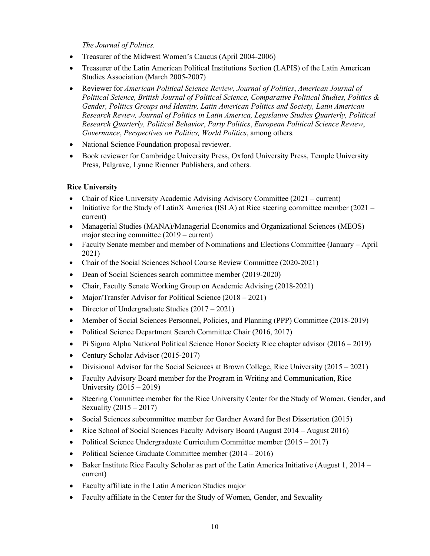*The Journal of Politics.* 

- Treasurer of the Midwest Women's Caucus (April 2004-2006)
- • Treasurer of the Latin American Political Institutions Section (LAPIS) of the Latin American Studies Association (March 2005-2007)
- • Reviewer for *American Political Science Review*, *Journal of Politics*, *American Journal of Political Science, British Journal of Political Science, Comparative Political Studies, Politics & Gender, Politics Groups and Identity, Latin American Politics and Society, Latin American Research Review, Journal of Politics in Latin America, Legislative Studies Quarterly, Political Research Quarterly, Political Behavior*, *Party Politics*, *European Political Science Review*, *Governance*, *Perspectives on Politics, World Politics*, among others*.*
- National Science Foundation proposal reviewer.
- • Book reviewer for Cambridge University Press, Oxford University Press, Temple University Press, Palgrave, Lynne Rienner Publishers, and others.

#### **Rice University**

- Chair of Rice University Academic Advising Advisory Committee (2021 current)
- Initiative for the Study of LatinX America (ISLA) at Rice steering committee member (2021 current)
- major steering committee (2019 current) • Managerial Studies (MANA)/Managerial Economics and Organizational Sciences (MEOS)
- • Faculty Senate member and member of Nominations and Elections Committee (January April 2021)
- Chair of the Social Sciences School Course Review Committee (2020-2021)
- Dean of Social Sciences search committee member (2019-2020)
- Chair, Faculty Senate Working Group on Academic Advising (2018-2021)
- Major/Transfer Advisor for Political Science (2018 2021)
- Director of Undergraduate Studies (2017 2021)
- Member of Social Sciences Personnel, Policies, and Planning (PPP) Committee (2018-2019)
- Political Science Department Search Committee Chair (2016, 2017)
- Pi Sigma Alpha National Political Science Honor Society Rice chapter advisor (2016 2019)
- Century Scholar Advisor (2015-2017)
- Divisional Advisor for the Social Sciences at Brown College, Rice University (2015 2021)
- • Faculty Advisory Board member for the Program in Writing and Communication, Rice University (2015 – 2019)
- • Steering Committee member for the Rice University Center for the Study of Women, Gender, and Sexuality (2015 – 2017)
- Social Sciences subcommittee member for Gardner Award for Best Dissertation (2015)
- Rice School of Social Sciences Faculty Advisory Board (August 2014 August 2016)
- Political Science Undergraduate Curriculum Committee member (2015 2017)
- Political Science Graduate Committee member (2014 2016)
- • Baker Institute Rice Faculty Scholar as part of the Latin America Initiative (August 1, 2014 current)
- Faculty affiliate in the Latin American Studies major
- Faculty affiliate in the Center for the Study of Women, Gender, and Sexuality